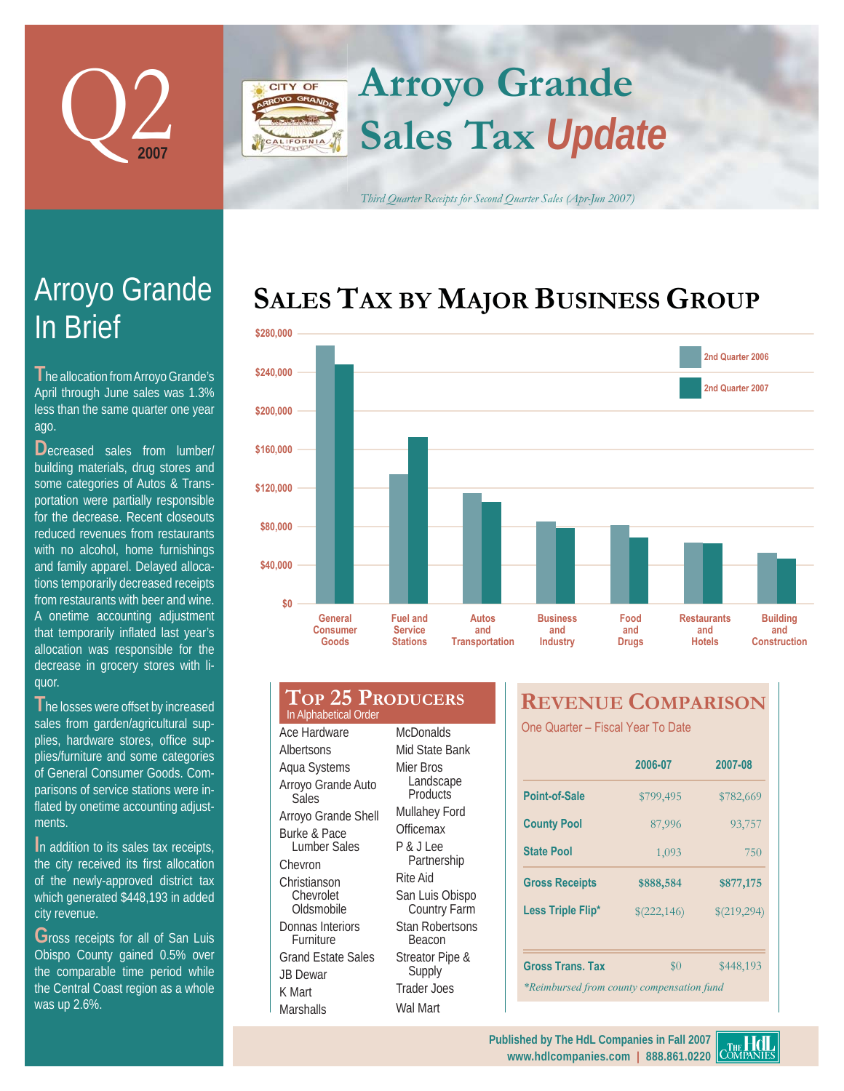

## **Arroyo Grande** CITY OF **Sales Tax** *Update* LIFORNIA

*Third Quarter Receipts for Second Quarter Sales (Apr-Jun 2007)*

## **SALES TAX BY MAJOR BUSINESS GROUP**



# In Brief Arroyo Grande

**T** he allocation from Arroyo Grande's April through June sales was 1.3% less than the same quarter one year ago.

Decreased sales from lumber/ building materials, drug stores and some categories of Autos & Transportation were partially responsible for the decrease. Recent closeouts reduced revenues from restaurants with no alcohol, home furnishings and family apparel. Delayed allocations temporarily decreased receipts from restaurants with beer and wine. A onetime accounting adjustment that temporarily inflated last year's allocation was responsible for the decrease in grocery stores with liquor.

**T**he losses were offset by increased sales from garden/agricultural supplies, hardware stores, office supplies/furniture and some categories of General Consumer Goods. Comparisons of service stations were inflated by onetime accounting adjustments.

**I**n addition to its sales tax receipts, the city received its first allocation of the newly-approved district tax which generated \$448,193 in added city revenue.

Gross receipts for all of San Luis Obispo County gained 0.5% over the comparable time period while the Central Coast region as a whole was up 2.6%.

#### **TOP 25 PRODUCERS** Ace Hardware Albertsons Aqua Systems Arroyo Grande Auto **Sales** Arroyo Grande Shell Burke & Pace Lumber Sales Chevron **Christianson** Chevrolet **Oldsmobile** Donnas Interiors **Furniture** Grand Estate Sales JB Dewar K Mart **McDonalds** Mid State Bank Mier Bros Landscape **Products** Mullahey Ford Officemax P & J Lee Partnership Rite Aid San Luis Obispo Country Farm Stan Robertsons Beacon Streator Pipe & Supply Trader Joes In Alphabetical Order

Wal Mart

**Marshalls** 

## **REVENUE COMPARISON**

One Quarter - Fiscal Year To Date

|                                           | 2006-07                    | 2007-08   |  |  |  |
|-------------------------------------------|----------------------------|-----------|--|--|--|
| Point-of-Sale                             | \$799,495                  | \$782,669 |  |  |  |
| <b>County Pool</b>                        | 87,996                     | 93,757    |  |  |  |
| <b>State Pool</b>                         | 1,093                      | 750       |  |  |  |
| <b>Gross Receipts</b>                     | \$888,584                  | \$877,175 |  |  |  |
| Less Triple Flip*                         | \$(219,294)<br>\$(222,146) |           |  |  |  |
|                                           |                            |           |  |  |  |
| Gross Trans. Tax                          | $\$0$                      | \$448,193 |  |  |  |
| *Reimbursed from county compensation fund |                            |           |  |  |  |